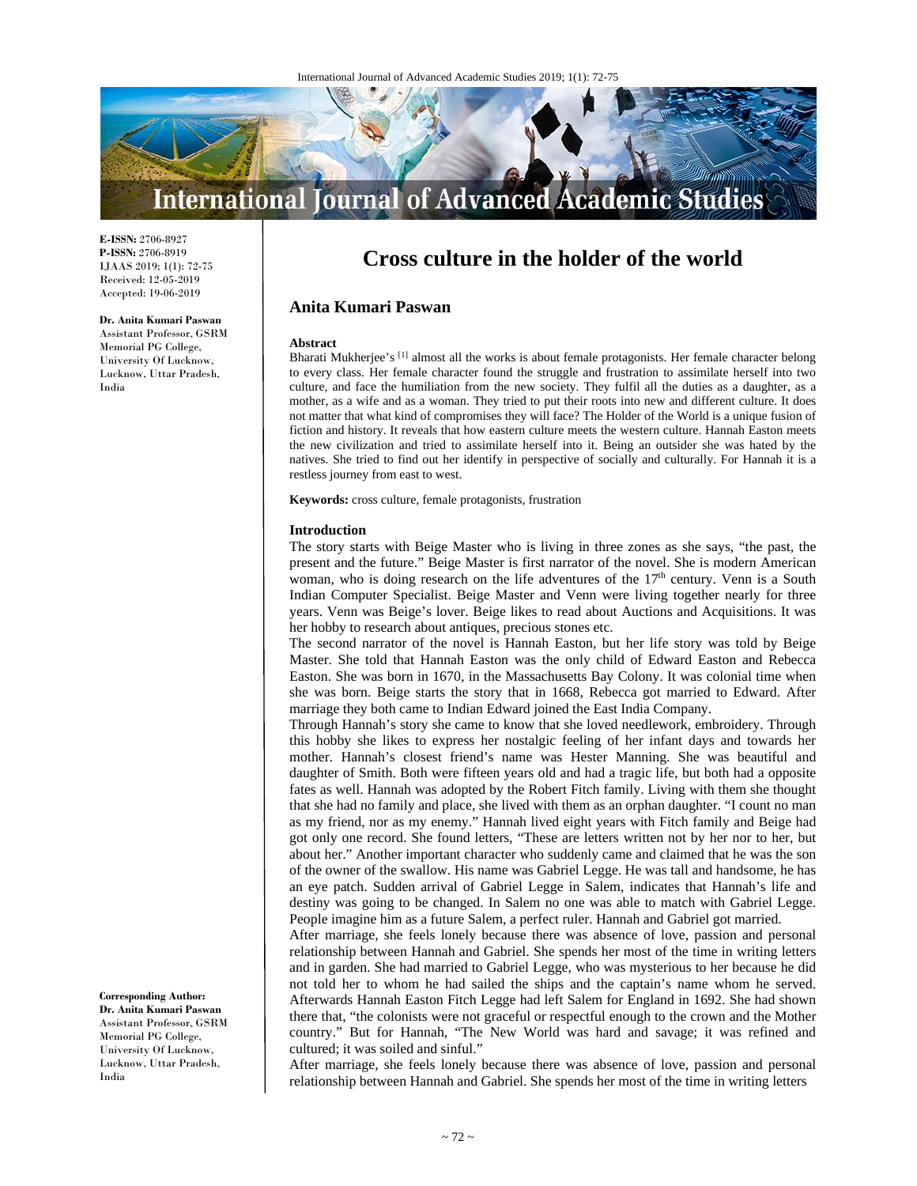

**E-ISSN:** 2706-8927 **P-ISSN:** 2706-8919 IJAAS 2019; 1(1): 72-75 Received: 12-05-2019 Accepted: 19-06-2019

#### **Dr. Anita Kumari Paswan**  Assistant Professor, GSRM Memorial PG College, University Of Lucknow, Lucknow, Uttar Pradesh, India

# **Cross culture in the holder of the world**

# **Anita Kumari Paswan**

#### **Abstract**

Bharati Mukherjee's <a>[1]</a> almost all the works is about female protagonists. Her female character belong to every class. Her female character found the struggle and frustration to assimilate herself into two culture, and face the humiliation from the new society. They fulfil all the duties as a daughter, as a mother, as a wife and as a woman. They tried to put their roots into new and different culture. It does not matter that what kind of compromises they will face? The Holder of the World is a unique fusion of fiction and history. It reveals that how eastern culture meets the western culture. Hannah Easton meets the new civilization and tried to assimilate herself into it. Being an outsider she was hated by the natives. She tried to find out her identify in perspective of socially and culturally. For Hannah it is a restless journey from east to west.

**Keywords:** cross culture, female protagonists, frustration

## **Introduction**

The story starts with Beige Master who is living in three zones as she says, "the past, the present and the future." Beige Master is first narrator of the novel. She is modern American woman, who is doing research on the life adventures of the  $17<sup>th</sup>$  century. Venn is a South Indian Computer Specialist. Beige Master and Venn were living together nearly for three years. Venn was Beige's lover. Beige likes to read about Auctions and Acquisitions. It was her hobby to research about antiques, precious stones etc.

The second narrator of the novel is Hannah Easton, but her life story was told by Beige Master. She told that Hannah Easton was the only child of Edward Easton and Rebecca Easton. She was born in 1670, in the Massachusetts Bay Colony. It was colonial time when she was born. Beige starts the story that in 1668, Rebecca got married to Edward. After marriage they both came to Indian Edward joined the East India Company.

Through Hannah's story she came to know that she loved needlework, embroidery. Through this hobby she likes to express her nostalgic feeling of her infant days and towards her mother. Hannah's closest friend's name was Hester Manning. She was beautiful and daughter of Smith. Both were fifteen years old and had a tragic life, but both had a opposite fates as well. Hannah was adopted by the Robert Fitch family. Living with them she thought that she had no family and place, she lived with them as an orphan daughter. "I count no man as my friend, nor as my enemy." Hannah lived eight years with Fitch family and Beige had got only one record. She found letters, "These are letters written not by her nor to her, but about her." Another important character who suddenly came and claimed that he was the son of the owner of the swallow. His name was Gabriel Legge. He was tall and handsome, he has an eye patch. Sudden arrival of Gabriel Legge in Salem, indicates that Hannah's life and destiny was going to be changed. In Salem no one was able to match with Gabriel Legge. People imagine him as a future Salem, a perfect ruler. Hannah and Gabriel got married.

After marriage, she feels lonely because there was absence of love, passion and personal relationship between Hannah and Gabriel. She spends her most of the time in writing letters and in garden. She had married to Gabriel Legge, who was mysterious to her because he did not told her to whom he had sailed the ships and the captain's name whom he served. Afterwards Hannah Easton Fitch Legge had left Salem for England in 1692. She had shown there that, "the colonists were not graceful or respectful enough to the crown and the Mother country." But for Hannah, "The New World was hard and savage; it was refined and cultured; it was soiled and sinful."

After marriage, she feels lonely because there was absence of love, passion and personal relationship between Hannah and Gabriel. She spends her most of the time in writing letters

**Corresponding Author: Dr. Anita Kumari Paswan**  Assistant Professor, GSRM Memorial PG College, University Of Lucknow, Lucknow, Uttar Pradesh, India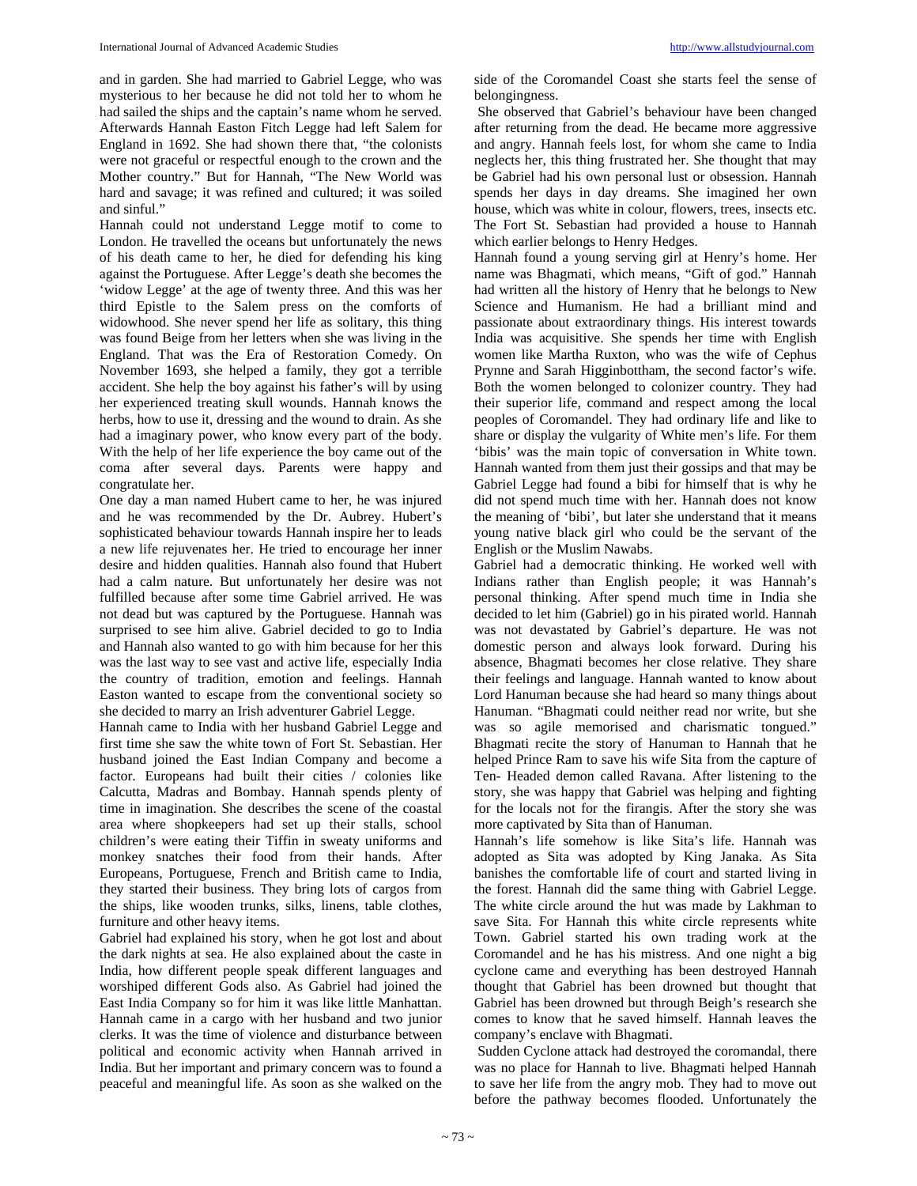and sinful." Hannah could not understand Legge motif to come to London. He travelled the oceans but unfortunately the news of his death came to her, he died for defending his king against the Portuguese. After Legge's death she becomes the 'widow Legge' at the age of twenty three. And this was her third Epistle to the Salem press on the comforts of widowhood. She never spend her life as solitary, this thing was found Beige from her letters when she was living in the England. That was the Era of Restoration Comedy. On November 1693, she helped a family, they got a terrible accident. She help the boy against his father's will by using her experienced treating skull wounds. Hannah knows the herbs, how to use it, dressing and the wound to drain. As she had a imaginary power, who know every part of the body. With the help of her life experience the boy came out of the coma after several days. Parents were happy and congratulate her.

One day a man named Hubert came to her, he was injured and he was recommended by the Dr. Aubrey. Hubert's sophisticated behaviour towards Hannah inspire her to leads a new life rejuvenates her. He tried to encourage her inner desire and hidden qualities. Hannah also found that Hubert had a calm nature. But unfortunately her desire was not fulfilled because after some time Gabriel arrived. He was not dead but was captured by the Portuguese. Hannah was surprised to see him alive. Gabriel decided to go to India and Hannah also wanted to go with him because for her this was the last way to see vast and active life, especially India the country of tradition, emotion and feelings. Hannah Easton wanted to escape from the conventional society so she decided to marry an Irish adventurer Gabriel Legge.

Hannah came to India with her husband Gabriel Legge and first time she saw the white town of Fort St. Sebastian. Her husband joined the East Indian Company and become a factor. Europeans had built their cities / colonies like Calcutta, Madras and Bombay. Hannah spends plenty of time in imagination. She describes the scene of the coastal area where shopkeepers had set up their stalls, school children's were eating their Tiffin in sweaty uniforms and monkey snatches their food from their hands. After Europeans, Portuguese, French and British came to India, they started their business. They bring lots of cargos from the ships, like wooden trunks, silks, linens, table clothes, furniture and other heavy items.

Gabriel had explained his story, when he got lost and about the dark nights at sea. He also explained about the caste in India, how different people speak different languages and worshiped different Gods also. As Gabriel had joined the East India Company so for him it was like little Manhattan. Hannah came in a cargo with her husband and two junior clerks. It was the time of violence and disturbance between political and economic activity when Hannah arrived in India. But her important and primary concern was to found a peaceful and meaningful life. As soon as she walked on the

side of the Coromandel Coast she starts feel the sense of belongingness.

 She observed that Gabriel's behaviour have been changed after returning from the dead. He became more aggressive and angry. Hannah feels lost, for whom she came to India neglects her, this thing frustrated her. She thought that may be Gabriel had his own personal lust or obsession. Hannah spends her days in day dreams. She imagined her own house, which was white in colour, flowers, trees, insects etc. The Fort St. Sebastian had provided a house to Hannah which earlier belongs to Henry Hedges.

Hannah found a young serving girl at Henry's home. Her name was Bhagmati, which means, "Gift of god." Hannah had written all the history of Henry that he belongs to New Science and Humanism. He had a brilliant mind and passionate about extraordinary things. His interest towards India was acquisitive. She spends her time with English women like Martha Ruxton, who was the wife of Cephus Prynne and Sarah Higginbottham, the second factor's wife. Both the women belonged to colonizer country. They had their superior life, command and respect among the local peoples of Coromandel. They had ordinary life and like to share or display the vulgarity of White men's life. For them 'bibis' was the main topic of conversation in White town. Hannah wanted from them just their gossips and that may be Gabriel Legge had found a bibi for himself that is why he did not spend much time with her. Hannah does not know the meaning of 'bibi', but later she understand that it means young native black girl who could be the servant of the English or the Muslim Nawabs.

Gabriel had a democratic thinking. He worked well with Indians rather than English people; it was Hannah's personal thinking. After spend much time in India she decided to let him (Gabriel) go in his pirated world. Hannah was not devastated by Gabriel's departure. He was not domestic person and always look forward. During his absence, Bhagmati becomes her close relative. They share their feelings and language. Hannah wanted to know about Lord Hanuman because she had heard so many things about Hanuman. "Bhagmati could neither read nor write, but she was so agile memorised and charismatic tongued." Bhagmati recite the story of Hanuman to Hannah that he helped Prince Ram to save his wife Sita from the capture of Ten- Headed demon called Ravana. After listening to the story, she was happy that Gabriel was helping and fighting for the locals not for the firangis. After the story she was more captivated by Sita than of Hanuman.

Hannah's life somehow is like Sita's life. Hannah was adopted as Sita was adopted by King Janaka. As Sita banishes the comfortable life of court and started living in the forest. Hannah did the same thing with Gabriel Legge. The white circle around the hut was made by Lakhman to save Sita. For Hannah this white circle represents white Town. Gabriel started his own trading work at the Coromandel and he has his mistress. And one night a big cyclone came and everything has been destroyed Hannah thought that Gabriel has been drowned but thought that Gabriel has been drowned but through Beigh's research she comes to know that he saved himself. Hannah leaves the company's enclave with Bhagmati.

 Sudden Cyclone attack had destroyed the coromandal, there was no place for Hannah to live. Bhagmati helped Hannah to save her life from the angry mob. They had to move out before the pathway becomes flooded. Unfortunately the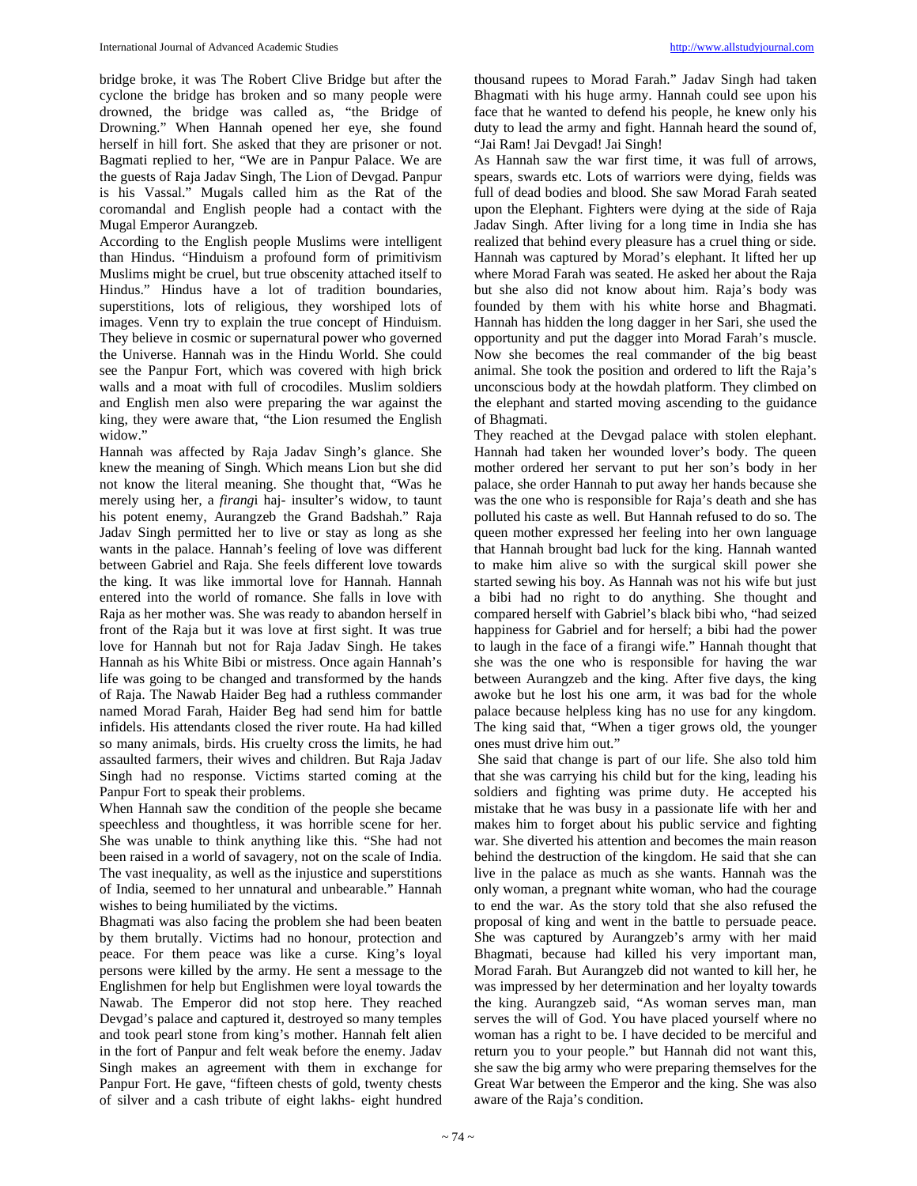bridge broke, it was The Robert Clive Bridge but after the cyclone the bridge has broken and so many people were drowned, the bridge was called as, "the Bridge of Drowning." When Hannah opened her eye, she found herself in hill fort. She asked that they are prisoner or not. Bagmati replied to her, "We are in Panpur Palace. We are the guests of Raja Jadav Singh, The Lion of Devgad. Panpur is his Vassal." Mugals called him as the Rat of the coromandal and English people had a contact with the Mugal Emperor Aurangzeb.

According to the English people Muslims were intelligent than Hindus. "Hinduism a profound form of primitivism Muslims might be cruel, but true obscenity attached itself to Hindus." Hindus have a lot of tradition boundaries, superstitions, lots of religious, they worshiped lots of images. Venn try to explain the true concept of Hinduism. They believe in cosmic or supernatural power who governed the Universe. Hannah was in the Hindu World. She could see the Panpur Fort, which was covered with high brick walls and a moat with full of crocodiles. Muslim soldiers and English men also were preparing the war against the king, they were aware that, "the Lion resumed the English widow."

Hannah was affected by Raja Jadav Singh's glance. She knew the meaning of Singh. Which means Lion but she did not know the literal meaning. She thought that, "Was he merely using her, a *firang*i haj- insulter's widow, to taunt his potent enemy, Aurangzeb the Grand Badshah." Raja Jadav Singh permitted her to live or stay as long as she wants in the palace. Hannah's feeling of love was different between Gabriel and Raja. She feels different love towards the king. It was like immortal love for Hannah. Hannah entered into the world of romance. She falls in love with Raja as her mother was. She was ready to abandon herself in front of the Raja but it was love at first sight. It was true love for Hannah but not for Raja Jadav Singh. He takes Hannah as his White Bibi or mistress. Once again Hannah's life was going to be changed and transformed by the hands of Raja. The Nawab Haider Beg had a ruthless commander named Morad Farah, Haider Beg had send him for battle infidels. His attendants closed the river route. Ha had killed so many animals, birds. His cruelty cross the limits, he had assaulted farmers, their wives and children. But Raja Jadav Singh had no response. Victims started coming at the Panpur Fort to speak their problems.

When Hannah saw the condition of the people she became speechless and thoughtless, it was horrible scene for her. She was unable to think anything like this. "She had not been raised in a world of savagery, not on the scale of India. The vast inequality, as well as the injustice and superstitions of India, seemed to her unnatural and unbearable." Hannah wishes to being humiliated by the victims.

Bhagmati was also facing the problem she had been beaten by them brutally. Victims had no honour, protection and peace. For them peace was like a curse. King's loyal persons were killed by the army. He sent a message to the Englishmen for help but Englishmen were loyal towards the Nawab. The Emperor did not stop here. They reached Devgad's palace and captured it, destroyed so many temples and took pearl stone from king's mother. Hannah felt alien in the fort of Panpur and felt weak before the enemy. Jadav Singh makes an agreement with them in exchange for Panpur Fort. He gave, "fifteen chests of gold, twenty chests of silver and a cash tribute of eight lakhs- eight hundred

thousand rupees to Morad Farah." Jadav Singh had taken Bhagmati with his huge army. Hannah could see upon his face that he wanted to defend his people, he knew only his duty to lead the army and fight. Hannah heard the sound of, "Jai Ram! Jai Devgad! Jai Singh!

As Hannah saw the war first time, it was full of arrows, spears, swards etc. Lots of warriors were dying, fields was full of dead bodies and blood. She saw Morad Farah seated upon the Elephant. Fighters were dying at the side of Raja Jadav Singh. After living for a long time in India she has realized that behind every pleasure has a cruel thing or side. Hannah was captured by Morad's elephant. It lifted her up where Morad Farah was seated. He asked her about the Raja but she also did not know about him. Raja's body was founded by them with his white horse and Bhagmati. Hannah has hidden the long dagger in her Sari, she used the opportunity and put the dagger into Morad Farah's muscle. Now she becomes the real commander of the big beast animal. She took the position and ordered to lift the Raja's unconscious body at the howdah platform. They climbed on the elephant and started moving ascending to the guidance of Bhagmati.

They reached at the Devgad palace with stolen elephant. Hannah had taken her wounded lover's body. The queen mother ordered her servant to put her son's body in her palace, she order Hannah to put away her hands because she was the one who is responsible for Raja's death and she has polluted his caste as well. But Hannah refused to do so. The queen mother expressed her feeling into her own language that Hannah brought bad luck for the king. Hannah wanted to make him alive so with the surgical skill power she started sewing his boy. As Hannah was not his wife but just a bibi had no right to do anything. She thought and compared herself with Gabriel's black bibi who, "had seized happiness for Gabriel and for herself; a bibi had the power to laugh in the face of a firangi wife." Hannah thought that she was the one who is responsible for having the war between Aurangzeb and the king. After five days, the king awoke but he lost his one arm, it was bad for the whole palace because helpless king has no use for any kingdom. The king said that, "When a tiger grows old, the younger ones must drive him out."

 She said that change is part of our life. She also told him that she was carrying his child but for the king, leading his soldiers and fighting was prime duty. He accepted his mistake that he was busy in a passionate life with her and makes him to forget about his public service and fighting war. She diverted his attention and becomes the main reason behind the destruction of the kingdom. He said that she can live in the palace as much as she wants. Hannah was the only woman, a pregnant white woman, who had the courage to end the war. As the story told that she also refused the proposal of king and went in the battle to persuade peace. She was captured by Aurangzeb's army with her maid Bhagmati, because had killed his very important man, Morad Farah. But Aurangzeb did not wanted to kill her, he was impressed by her determination and her loyalty towards the king. Aurangzeb said, "As woman serves man, man serves the will of God. You have placed yourself where no woman has a right to be. I have decided to be merciful and return you to your people." but Hannah did not want this, she saw the big army who were preparing themselves for the Great War between the Emperor and the king. She was also aware of the Raja's condition.